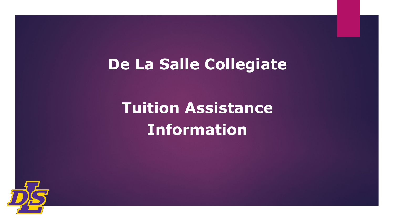## **De La Salle Collegiate**

# **Tuition Assistance Information**

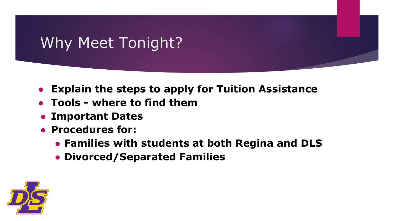## Why Meet Tonight?

- **● Explain the steps to apply for Tuition Assistance**
- **● Tools where to find them**
- **● Important Dates**
- **● Procedures for:** 
	- **● Families with students at both Regina and DLS**
	- **● Divorced/Separated Families**

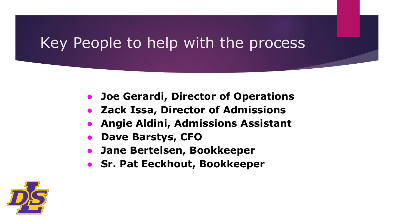### Key People to help with the process

- **● Joe Gerardi, Director of Operations**
- **● Zack Issa, Director of Admissions**
- **● Angie Aldini, Admissions Assistant**
- **● Dave Barstys, CFO**
- **● Jane Bertelsen, Bookkeeper**
- **● Sr. Pat Eeckhout, Bookkeeper**

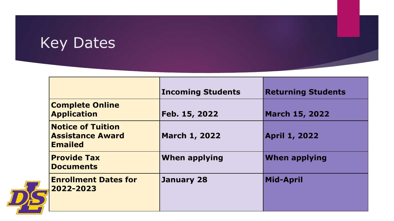# Key Dates

|                                                                       | <b>Incoming Students</b> | <b>Returning Students</b> |
|-----------------------------------------------------------------------|--------------------------|---------------------------|
| <b>Complete Online</b><br><b>Application</b>                          | Feb. 15, 2022            | <b>March 15, 2022</b>     |
| <b>Notice of Tuition</b><br><b>Assistance Award</b><br><b>Emailed</b> | <b>March 1, 2022</b>     | <b>April 1, 2022</b>      |
| <b>Provide Tax</b><br><b>Documents</b>                                | <b>When applying</b>     | <b>When applying</b>      |
| <b>Enrollment Dates for</b><br>2022-2023                              | January 28               | <b>Mid-April</b>          |

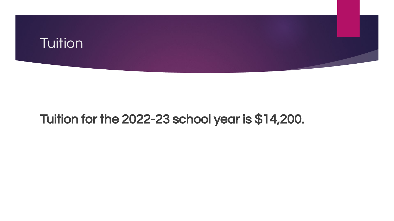

#### Tuition for the 2022-23 school year is \$14,200.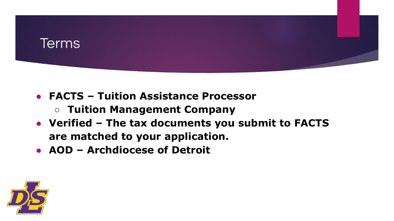

- **● FACTS Tuition Assistance Processor** 
	- **○ Tuition Management Company**
- **● Verified The tax documents you submit to FACTS are matched to your application.**
- **● AOD Archdiocese of Detroit**

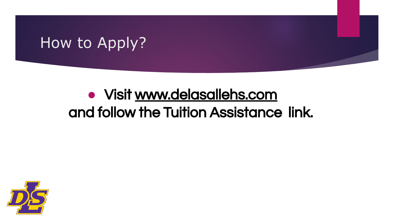### How to Apply?

## **●** Visit [www.delasallehs.com](http://www.delasallehs.com/)  and follow the Tuition Assistance link.

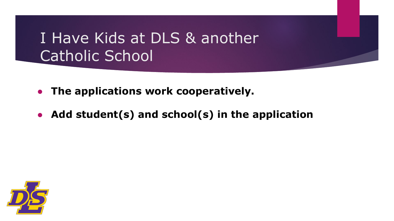#### I Have Kids at DLS & another Catholic School

- **● The applications work cooperatively.**
- **● Add student(s) and school(s) in the application**

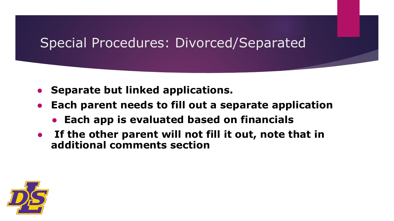#### Special Procedures: Divorced/Separated

- **● Separate but linked applications.**
- **● Each parent needs to fill out a separate application**
	- **● Each app is evaluated based on financials**
- **● If the other parent will not fill it out, note that in additional comments section**

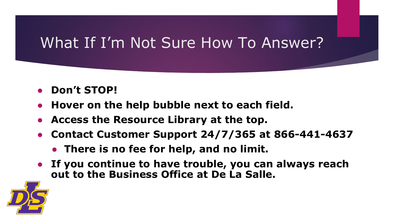#### What If I'm Not Sure How To Answer?

- **● Don't STOP!**
- **● Hover on the help bubble next to each field.**
- **● Access the Resource Library at the top.**
- **● Contact Customer Support 24/7/365 at 866-441-4637**
	- **● There is no fee for help, and no limit.**
- **● If you continue to have trouble, you can always reach out to the Business Office at De La Salle.**

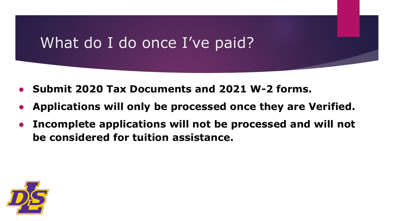#### What do I do once I've paid?

- **● Submit 2020 Tax Documents and 2021 W-2 forms.**
- **● Applications will only be processed once they are Verified.**
- **● Incomplete applications will not be processed and will not be considered for tuition assistance.**

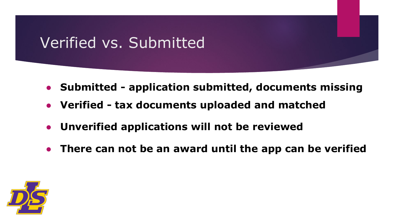## Verified vs. Submitted

- **● Submitted application submitted, documents missing**
- **● Verified tax documents uploaded and matched**
- **● Unverified applications will not be reviewed**
- **● There can not be an award until the app can be verified**

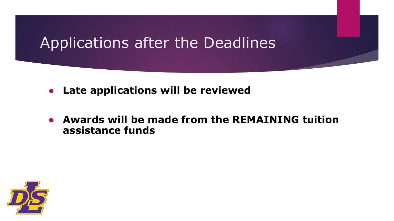#### Applications after the Deadlines

- **● Late applications will be reviewed**
- **● Awards will be made from the REMAINING tuition assistance funds**

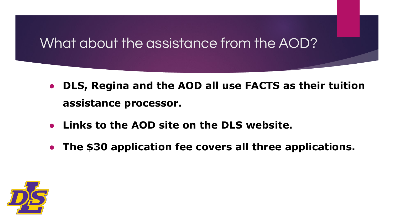#### What about the assistance from the AOD?

- **● DLS, Regina and the AOD all use FACTS as their tuition assistance processor.**
- **● Links to the AOD site on the DLS website.**
- **● The \$30 application fee covers all three applications.**

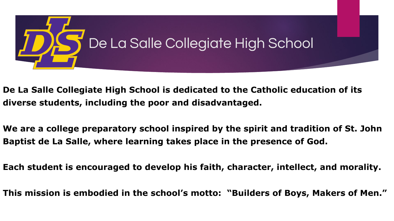

- **De La Salle Collegiate High School is dedicated to the Catholic education of its diverse students, including the poor and disadvantaged.**
- **We are a college preparatory school inspired by the spirit and tradition of St. John Baptist de La Salle, where learning takes place in the presence of God.**
- **Each student is encouraged to develop his faith, character, intellect, and morality.**
- **This mission is embodied in the school's motto: "Builders of Boys, Makers of Men."**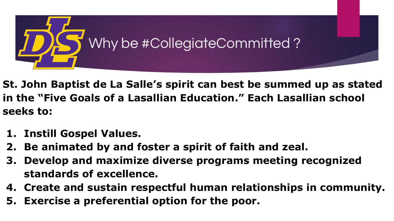

- **St. John Baptist de La Salle's spirit can best be summed up as stated in the "Five Goals of a Lasallian Education." Each Lasallian school seeks to:**
- **1. Instill Gospel Values.**
- **2. Be animated by and foster a spirit of faith and zeal.**
- **3. Develop and maximize diverse programs meeting recognized standards of excellence.**
- **4. Create and sustain respectful human relationships in community.**
- **5. Exercise a preferential option for the poor.**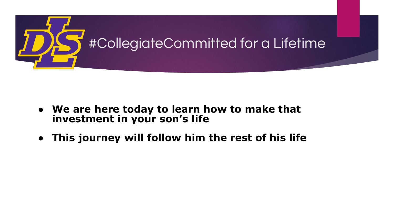

- **● We are here today to learn how to make that investment in your son's life**
- **● This journey will follow him the rest of his life**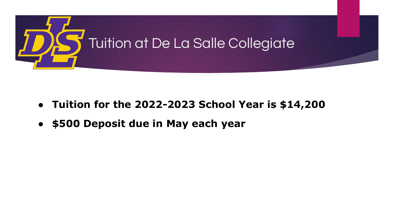

- **● Tuition for the 2022-2023 School Year is \$14,200**
- **● \$500 Deposit due in May each year**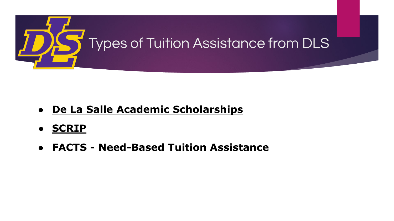

- **● [De La Salle Academic Scholarships](https://www.delasallehs.com/admissions/tuition-assistance)**
- **● [SCRIP](https://www.shopwithscrip.com/)**
- **● FACTS Need-Based Tuition Assistance**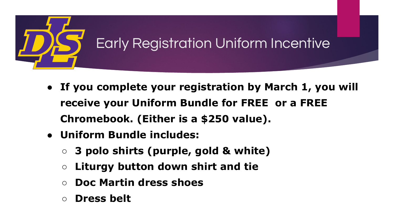

- **● If you complete your registration by March 1, you will receive your Uniform Bundle for FREE or a FREE Chromebook. (Either is a \$250 value).**
- **● Uniform Bundle includes:**
	- **○ 3 polo shirts (purple, gold & white)**
	- **○ Liturgy button down shirt and tie**
	- **○ Doc Martin dress shoes**
	- **○ Dress belt**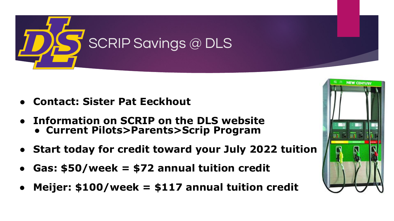

- **● Contact: Sister Pat Eeckhout**
- **● Information on SCRIP on the DLS website ● Current Pilots>Parents>Scrip Program**
- **● Start today for credit toward your July 2022 tuition**
- **● Gas: \$50/week = \$72 annual tuition credit**
- **● Meijer: \$100/week = \$117 annual tuition credit**

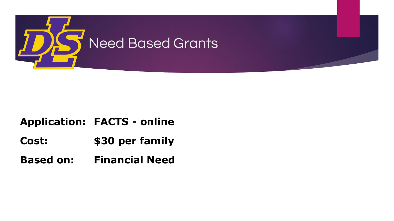

#### **Application: FACTS - online**

**Cost: \$30 per family**

**Based on: Financial Need**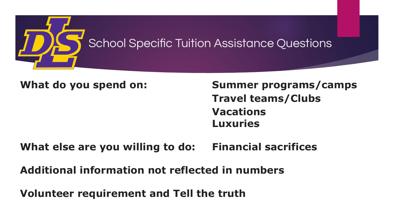

**What do you spend on: Summer programs/camps Travel teams/Clubs Vacations Luxuries**

#### **What else are you willing to do: Financial sacrifices**

**Additional information not reflected in numbers**

**Volunteer requirement and Tell the truth**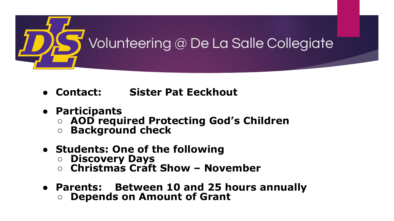

- **● Contact: Sister Pat Eeckhout**
- **● Participants**
	- **○ AOD required Protecting God's Children**
	- **○ Background check**
- **● Students: One of the following**
	- **○ Discovery Days**
	- **○ Christmas Craft Show November**
- **● Parents: Between 10 and 25 hours annually**
	- **○ Depends on Amount of Grant**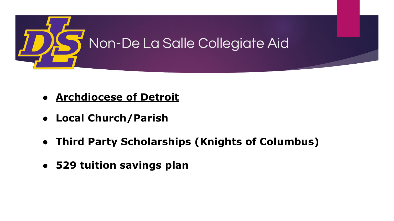

- **● [Archdiocese of Detroit](https://www.detroitcatholicschools.org/tuition-assistance-scholarships)**
- **● Local Church/Parish**
- **● Third Party Scholarships (Knights of Columbus)**
- **● 529 tuition savings plan**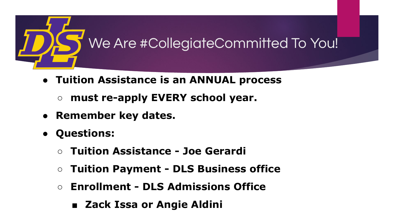

- **● Tuition Assistance is an ANNUAL process** 
	- **○ must re-apply EVERY school year.**
- **● Remember key dates.**
- **● Questions:** 
	- **○ Tuition Assistance Joe Gerardi**
	- **○ Tuition Payment DLS Business office**
	- **○ Enrollment DLS Admissions Office** 
		- **Zack Issa or Angie Aldini**